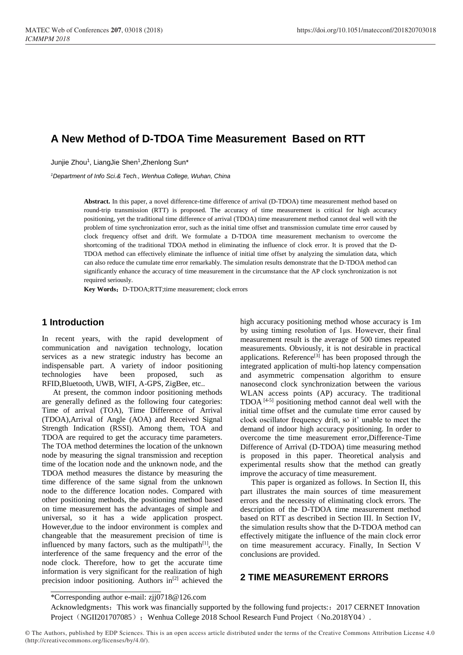# **A New Method of D-TDOA Time Measurement Based on RTT**

Junjie Zhou<sup>1</sup>, LiangJie Shen<sup>1</sup>, Zhenlong Sun\*

*<sup>1</sup>Department of Info Sci.& Tech., Wenhua College, Wuhan, China*

**Abstract.** In this paper, a novel difference-time difference of arrival (D-TDOA) time measurement method based on round-trip transmission (RTT) is proposed. The accuracy of time measurement is critical for high accuracy positioning, yet the traditional time difference of arrival (TDOA) time measurement method cannot deal well with the problem of time synchronization error, such as the initial time offset and transmission cumulate time error caused by clock frequency offset and drift. We formulate a D-TDOA time measurement mechanism to overcome the shortcoming of the traditional TDOA method in eliminating the influence of clock error. It is proved that the D-TDOA method can effectively eliminate the influence of initial time offset by analyzing the simulation data, which can also reduce the cumulate time error remarkably. The simulation results demonstrate that the D-TDOA method can significantly enhance the accuracy of time measurement in the circumstance that the AP clock synchronization is not required seriously.

Key Words: D-TDOA;RTT;time measurement; clock errors

# **1 Introduction**

In recent years, with the rapid development of communication and navigation technology, location services as a new strategic industry has become an indispensable part. A variety of indoor positioning technologies have been proposed, such as RFID,Bluetooth, UWB, WIFI, A-GPS, ZigBee, etc..

At present, the common indoor positioning methods are generally defined as the following four categories: Time of arrival (TOA), Time Difference of Arrival (TDOA),Arrival of Angle (AOA) and Received Signal Strength Indication (RSSI). Among them, TOA and TDOA are required to get the accuracy time parameters. The TOA method determines the location of the unknown node by measuring the signal transmission and reception time of the location node and the unknown node, and the TDOA method measures the distance by measuring the time difference of the same signal from the unknown node to the difference location nodes. Compared with other positioning methods, the positioning method based on time measurement has the advantages of simple and universal, so it has a wide application prospect. However,due to the indoor environment is complex and changeable that the measurement precision of time is influenced by many factors, such as the multipath $[1]$ , the interference of the same frequency and the error of the node clock. Therefore, how to get the accurate time information is very significant for the realization of high precision indoor positioning. Authors in<sup>[2]</sup> achieved the

high accuracy positioning method whose accuracy is 1m by using timing resolution of 1μs. However, their final measurement result is the average of 500 times repeated measurements. Obviously, it is not desirable in practical applications. Reference<sup>[3]</sup> has been proposed through the integrated application of multi-hop latency compensation and asymmetric compensation algorithm to ensure nanosecond clock synchronization between the various WLAN access points (AP) accuracy. The traditional TDOA [4-5] positioning method cannot deal well with the initial time offset and the cumulate time error caused by clock oscillator frequency drift, so it' unable to meet the demand of indoor high accuracy positioning. In order to overcome the time measurement error,Difference-Time Difference of Arrival (D-TDOA) time measuring method is proposed in this paper. Theoretical analysis and experimental results show that the method can greatly improve the accuracy of time measurement.

This paper is organized as follows. In Section II, this part illustrates the main sources of time measurement errors and the necessity of eliminating clock errors. The description of the D-TDOA time measurement method based on RTT as described in Section III. In Section IV, the simulation results show that the D-TDOA method can effectively mitigate the influence of the main clock error on time measurement accuracy. Finally, In Section V conclusions are provided.

# **2 TIME MEASUREMENT ERRORS**

Acknowledgments: This work was financially supported by the following fund projects:: 2017 CERNET Innovation Project (NGII201707085); Wenhua College 2018 School Research Fund Project (No.2018Y04).

<sup>\*</sup>Corresponding author e-mail: [zjj0718@126.com](mailto:zjj0718@126.com)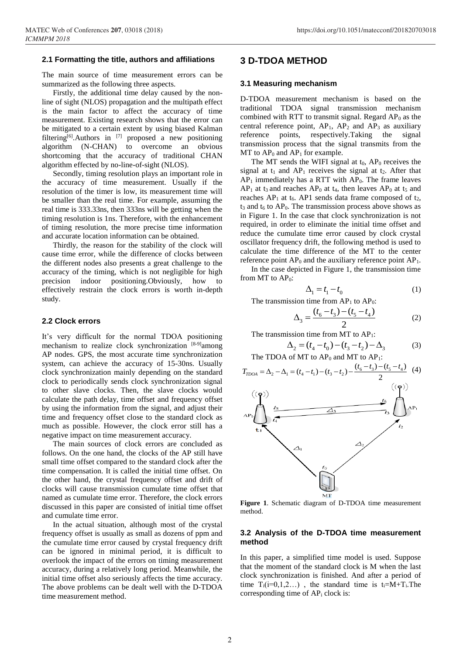#### **2.1 Formatting the title, authors and affiliations**

The main source of time measurement errors can be summarized as the following three aspects.

Firstly, the additional time delay caused by the nonline of sight (NLOS) propagation and the multipath effect is the main factor to affect the accuracy of time measurement. Existing research shows that the error can be mitigated to a certain extent by using biased Kalman filtering[6].Authors in [7] proposed a new positioning algorithm (N-CHAN) to overcome an obvious shortcoming that the accuracy of traditional CHAN algorithm effected by no-line-of-sight (NLOS).

Secondly, timing resolution plays an important role in the accuracy of time measurement. Usually if the resolution of the timer is low, its measurement time will be smaller than the real time. For example, assuming the real time is 333.33ns, then 333ns will be getting when the timing resolution is 1ns. Therefore, with the enhancement of timing resolution, the more precise time information and accurate location information can be obtained.

Thirdly, the reason for the stability of the clock will cause time error, while the difference of clocks between the different nodes also presents a great challenge to the accuracy of the timing, which is not negligible for high precision indoor positioning.Obviously, how to effectively restrain the clock errors is worth in-depth study.

#### **2.2 Clock errors**

It's very difficult for the normal TDOA positioning mechanism to realize clock synchronization [8-9] among AP nodes. GPS, the most accurate time synchronization system, can achieve the accuracy of 15-30ns. Usually clock synchronization mainly depending on the standard clock to periodically sends clock synchronization signal to other slave clocks. Then, the slave clocks would calculate the path delay, time offset and frequency offset by using the information from the signal, and adjust their time and frequency offset close to the standard clock as much as possible. However, the clock error still has a negative impact on time measurement accuracy.

The main sources of clock errors are concluded as follows. On the one hand, the clocks of the AP still have small time offset compared to the standard clock after the time compensation. It is called the initial time offset. On the other hand, the crystal frequency offset and drift of clocks will cause transmission cumulate time offset that named as cumulate time error. Therefore, the clock errors discussed in this paper are consisted of initial time offset and cumulate time error.

In the actual situation, although most of the crystal frequency offset is usually as small as dozens of ppm and the cumulate time error caused by crystal frequency drift can be ignored in minimal period, it is difficult to overlook the impact of the errors on timing measurement accuracy, during a relatively long period. Meanwhile, the initial time offset also seriously affects the time accuracy. The above problems can be dealt well with the D-TDOA time measurement method.

## **3 D-TDOA METHOD**

#### **3.1 Measuring mechanism**

D-TDOA measurement mechanism is based on the traditional TDOA signal transmission mechanism combined with RTT to transmit signal. Regard  $AP_0$  as the central reference point,  $AP_1$ ,  $AP_2$  and  $AP_3$  as auxiliary reference points, respectively.Taking the signal transmission process that the signal transmits from the MT to  $AP_0$  and  $AP_1$  for example.

The MT sends the WIFI signal at  $t_0$ , AP<sub>0</sub> receives the signal at  $t_1$  and  $AP_1$  receives the signal at  $t_2$ . After that  $AP<sub>1</sub>$  immediately has a RTT with  $AP<sub>0</sub>$ . The frame leaves  $AP_1$  at t<sub>3</sub> and reaches  $AP_0$  at t<sub>4</sub>, then leaves  $AP_0$  at t<sub>5</sub> and reaches  $AP_1$  at t<sub>6</sub>. AP1 sends data frame composed of t<sub>2</sub>,  $t_3$  and  $t_6$  to  $AP_0$ . The transmission process above shows as in Figure 1. In the case that clock synchronization is not required, in order to eliminate the initial time offset and reduce the cumulate time error caused by clock crystal oscillator frequency drift, the following method is used to calculate the time difference of the MT to the center reference point  $AP_0$  and the auxiliary reference point  $AP_1$ .

In the case depicted in Figure 1, the transmission time from MT to  $AP_0$ :

$$
\Delta_1 = t_1 - t_0 \tag{1}
$$

The transmission time from AP<sub>1</sub> to AP<sub>0</sub>:<br> $A = (t_6 - t_3) - (t_5 - t_4)$ 

$$
\Delta_3 = \frac{(t_6 - t_3) - (t_5 - t_4)}{2} \tag{2}
$$

The transmission time from MT to  $AP_1$ :

$$
\Delta_2 = (t_4 - t_0) - (t_3 - t_2) - \Delta_3 \tag{3}
$$

The TDOA of MT to  $AP_0$  and MT to  $AP_1$ :



**Figure 1**. Schematic diagram of D-TDOA time measurement method.

#### **3.2 Analysis of the D-TDOA time measurement method**

In this paper, a simplified time model is used. Suppose that the moment of the standard clock is M when the last clock synchronization is finished. And after a period of time  $T_i(i=0,1,2...)$ , the standard time is  $t_i=M+T_i$ . The corresponding time of  $AP_i$  clock is: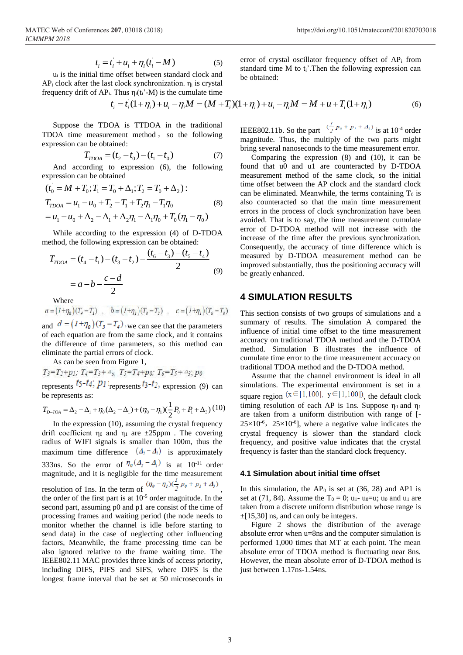$$
t_i = t_i + u_i + \eta_i(t_i - M) \tag{5}
$$

u<sup>i</sup> is the initial time offset between standard clock and  $AP_i$  clock after the last clock synchronization.  $\eta_i$  is crystal frequency drift of  $AP_i$ . Thus  $\eta_i(t_i'-M)$  is the cumulate time error of crystal oscillator frequency offset of  $AP<sub>i</sub>$  from standard time M to t<sub>i</sub>'. Then the following expression can be obtained:

$$
t_i = t_i(1 + \eta_i) + u_i - \eta_i M = (M + T_i)(1 + \eta_i) + u_i - \eta_i M = M + u + T_i(1 + \eta_i)
$$
(6)

Suppose the TDOA is TTDOA in the traditional TDOA time measurement method , so the following expression can be obtained:

$$
T_{\text{TDOA}} = (t_2 - t_0) - (t_1 - t_0) \tag{7}
$$

And according to expression (6), the following expression can be obtained

$$
(t_0 = M + T_0; T_1 = T_0 + \Delta_1; T_2 = T_0 + \Delta_2):
$$
  
\n
$$
T_{TDOA} = u_1 - u_0 + T_2 - T_1 + T_2\eta_1 - T_1\eta_0
$$
  
\n
$$
= u_1 - u_0 + \Delta_2 - \Delta_1 + \Delta_2\eta_1 - \Delta_1\eta_0 + T_0(\eta_1 - \eta_0)
$$
\n(8)

While according to the expression (4) of D-TDOA method, the following expression can be obtained:

$$
T_{\text{TDOA}} = (t_4 - t_1) - (t_3 - t_2) - \frac{(t_6 - t_3) - (t_5 - t_4)}{2}
$$
  
=  $a - b - \frac{c - d}{2}$  (9)

Where<br>  $a = (1+\eta_0)(T_4 - T_1)$ ,  $b = (1+\eta_1)(T_3 - T_2)$ ,  $c = (1+\eta_1)(T_6 - T_3)$ 

and  $d = (1 + \eta_0)(T_5 - T_4)$ , we can see that the parameters of each equation are from the same clock, and it contains the difference of time parameters, so this method can eliminate the partial errors of clock.

As can be seen from Figure 1,

 $T_3 = T_2 + p_1$ ;  $T_4 = T_3 + \Delta_s$ ,  $T_5 = T_4 + p_0$ ;  $T_6 = T_5 + \Delta_s$ ;  $p_0$ represents  $t_5-t_4$ ;  $p_1$ **:** represents  $t_3-t_2$ , expression (9) can be represents as:

be represents as:  
\n
$$
T_{D-TOA} = \Delta_2 - \Delta_1 + \eta_0 (\Delta_2 - \Delta_1) + (\eta_0 - \eta_1) (\frac{1}{2} P_0 + P_1 + \Delta_3)
$$
 (10)

In the expression (10), assuming the crystal frequency drift coefficient  $\eta_0$  and  $\eta_1$  are  $\pm 25$ ppm. The covering radius of WIFI signals is smaller than 100m, thus the maximum time difference  $(4<sub>2</sub>-4<sub>1</sub>)$  is approximately 333ns. So the error of  $\eta_{\theta}(\Delta_2 - \Delta_1)$  is at 10<sup>-11</sup> order magnitude, and it is negligible for the time measurement resolution of 1ns. In the term of  $(\eta_0 - \eta_1)(\frac{1}{2}p_0 + p_1 + \Delta_3)$ the order of the first part is at  $10^{-5}$  order magnitude. In the second part, assuming p0 and p1 are consist of the time of processing frames and waiting period (the node needs to monitor whether the channel is idle before starting to send data) in the case of neglecting other influencing factors, Meanwhile, the frame processing time can be also ignored relative to the frame waiting time. The IEEE802.11 MAC provides three kinds of access priority, including DIFS, PIFS and SIFS, where DIFS is the longest frame interval that be set at 50 microseconds in

IEEE802.11b. So the part  $\frac{(\frac{1}{2}p_0 + p_1 + A_s)}{(\frac{1}{2}p_0 + p_1 + A_s)}$  is at 10<sup>-4</sup> order magnitude. Thus, the multiply of the two parts might bring several nanoseconds to the time measurement error.

Comparing the expression (8) and (10), it can be found that u0 and u1 are counteracted by D-TDOA measurement method of the same clock, so the initial time offset between the AP clock and the standard clock can be eliminated. Meanwhile, the terms containing  $T_0$  is also counteracted so that the main time measurement errors in the process of clock synchronization have been avoided. That is to say, the time measurement cumulate error of D-TDOA method will not increase with the increase of the time after the previous synchronization. Consequently, the accuracy of time difference which is measured by D-TDOA measurement method can be improved substantially, thus the positioning accuracy will be greatly enhanced.

# **4 SIMULATION RESULTS**

This section consists of two groups of simulations and a summary of results. The simulation A compared the influence of initial time offset to the time measurement accuracy on traditional TDOA method and the D-TDOA method. Simulation B illustrates the influence of cumulate time error to the time measurement accuracy on traditional TDOA method and the D-TDOA method.

Assume that the channel environment is ideal in all simulations. The experimental environment is set in a square region  $(x \in [1,100], y \in [1,100])$ , the default clock timing resolution of each AP is 1ns. Suppose  $\eta_0$  and  $\eta_1$ are taken from a uniform distribution with range of [-  $25 \times 10^{-6}$ ,  $25 \times 10^{-6}$ ], where a negative value indicates the crystal frequency is slower than the standard clock frequency, and positive value indicates that the crystal frequency is faster than the standard clock frequency.

#### **4.1 Simulation about initial time offset**

In this simulation, the  $AP_0$  is set at (36, 28) and AP1 is set at (71, 84). Assume the  $T_0 = 0$ ;  $u_1$ -  $u_0 = u$ ;  $u_0$  and  $u_1$  are taken from a discrete uniform distribution whose range is  $\pm$ [15,30] ns, and can only be integers.

Figure 2 shows the distribution of the average absolute error when u=8ns and the computer simulation is performed 1,000 times that MT at each point. The mean absolute error of TDOA method is fluctuating near 8ns. However, the mean absolute error of D-TDOA method is just between 1.17ns-1.54ns.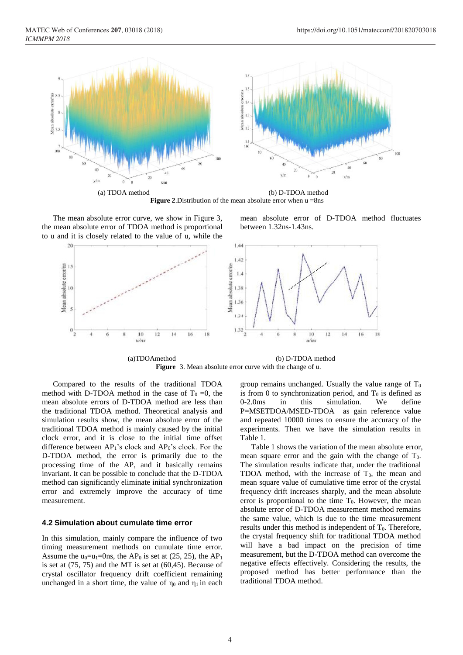

**Figure 2**.Distribution of the mean absolute error when u =8ns

The mean absolute error curve, we show in Figure 3, the mean absolute error of TDOA method is proportional to u and it is closely related to the value of u, while the

mean absolute error of D-TDOA method fluctuates between 1.32ns-1.43ns.



**Figure** 3. Mean absolute error curve with the change of u.

Compared to the results of the traditional TDOA method with D-TDOA method in the case of  $T_0 = 0$ , the mean absolute errors of D-TDOA method are less than the traditional TDOA method. Theoretical analysis and simulation results show, the mean absolute error of the traditional TDOA method is mainly caused by the initial clock error, and it is close to the initial time offset difference between  $AP_1$ 's clock and  $AP_0$ 's clock. For the D-TDOA method, the error is primarily due to the processing time of the AP, and it basically remains invariant. It can be possible to conclude that the D-TDOA method can significantly eliminate initial synchronization error and extremely improve the accuracy of time measurement.

### **4.2 Simulation about cumulate time error**

In this simulation, mainly compare the influence of two timing measurement methods on cumulate time error. Assume the  $u_0=u_1=0$ ns, the AP<sub>0</sub> is set at (25, 25), the AP<sub>1</sub> is set at (75, 75) and the MT is set at (60,45). Because of crystal oscillator frequency drift coefficient remaining unchanged in a short time, the value of  $\eta_0$  and  $\eta_1$  in each group remains unchanged. Usually the value range of  $T_0$ is from 0 to synchronization period, and  $T_0$  is defined as 0-2.0ms in this simulation. We define P=MSETDOA/MSED-TDOA as gain reference value and repeated 10000 times to ensure the accuracy of the experiments. Then we have the simulation results in Table 1.

Table 1 shows the variation of the mean absolute error, mean square error and the gain with the change of  $T_0$ . The simulation results indicate that, under the traditional TDOA method, with the increase of  $T_0$ , the mean and mean square value of cumulative time error of the crystal frequency drift increases sharply, and the mean absolute error is proportional to the time  $T_0$ . However, the mean absolute error of D-TDOA measurement method remains the same value, which is due to the time measurement results under this method is independent of  $T_0$ . Therefore, the crystal frequency shift for traditional TDOA method will have a bad impact on the precision of time measurement, but the D-TDOA method can overcome the negative effects effectively. Considering the results, the proposed method has better performance than the traditional TDOA method.